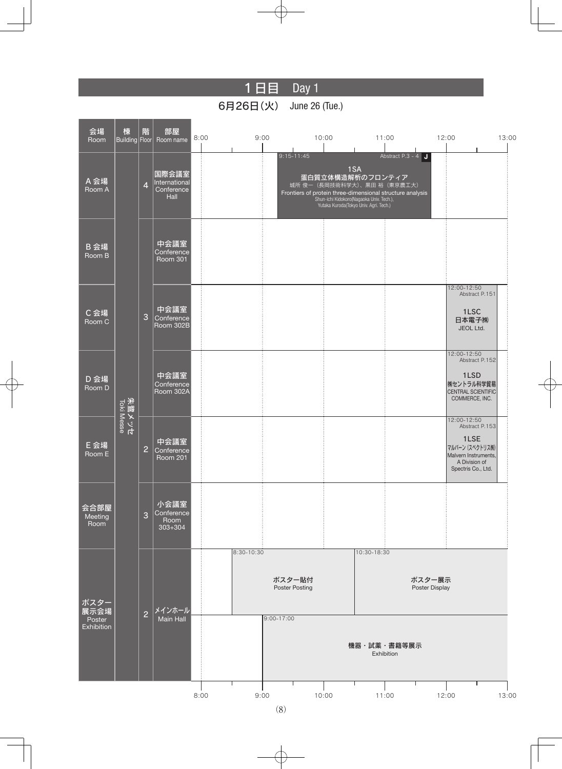# 1日目 Day 1

## 6月26日(火) June 26 (Tue.)

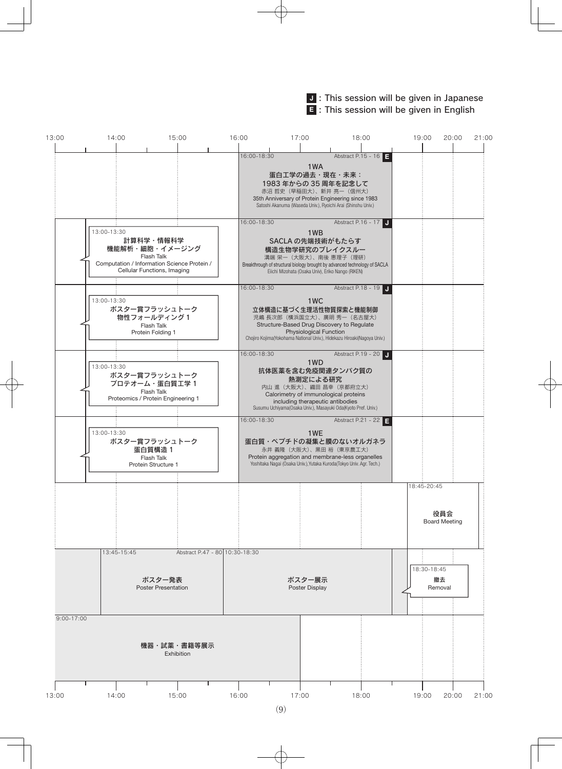#### J : This session will be given in Japanese **E** : This session will be given in English

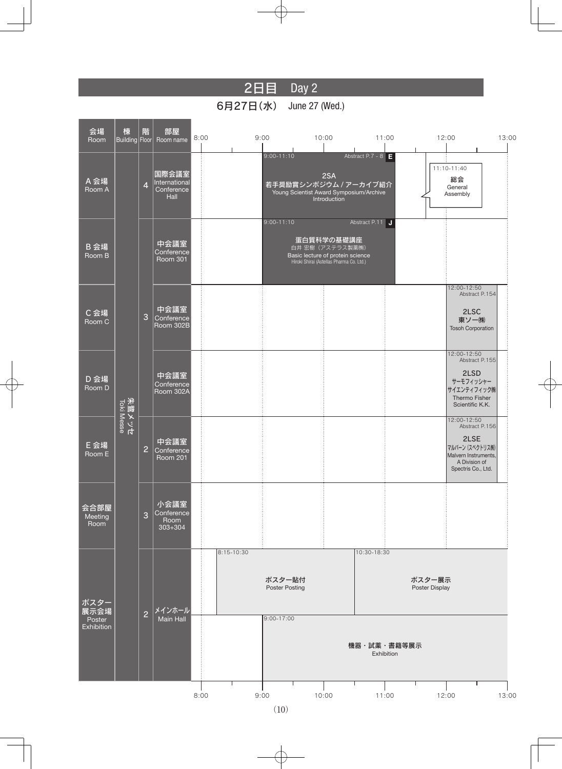# 2日目 Day 2

6月27日(水) June 27 (Wed.)

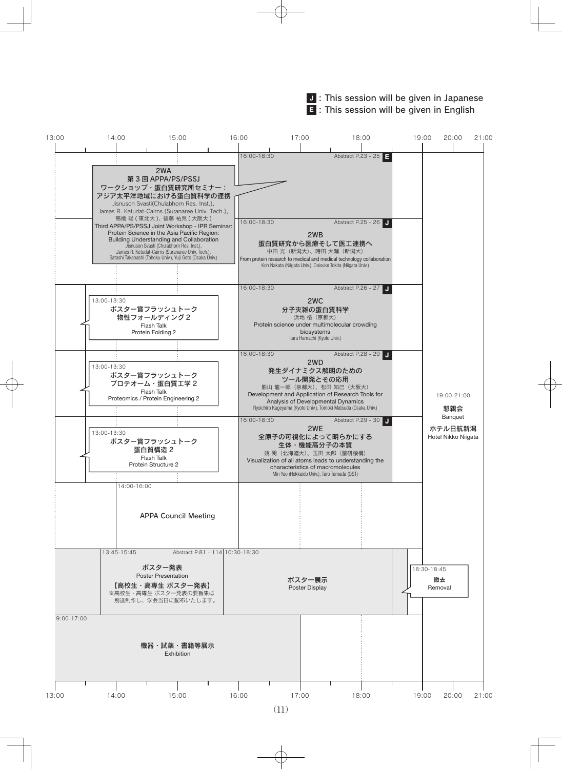#### J : This session will be given in Japanese **E** : This session will be given in English

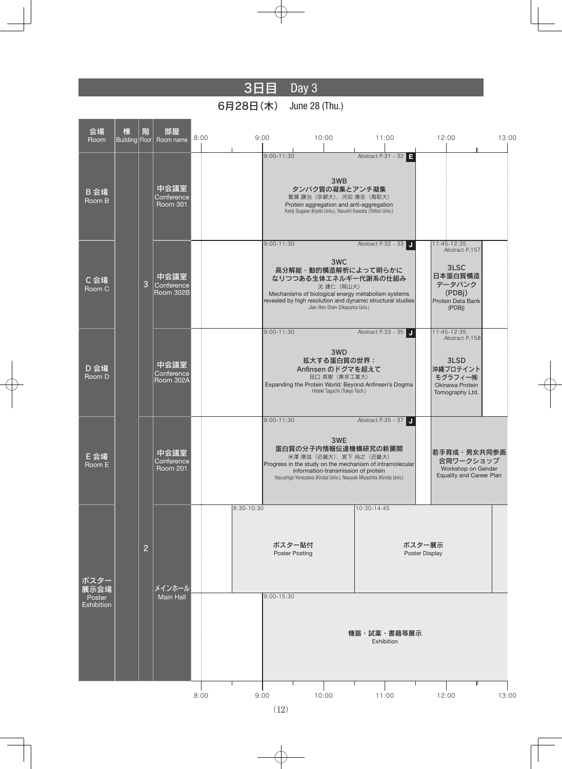## 3日目 Day 3

### 6月28日(木) June 28 (Thu.)